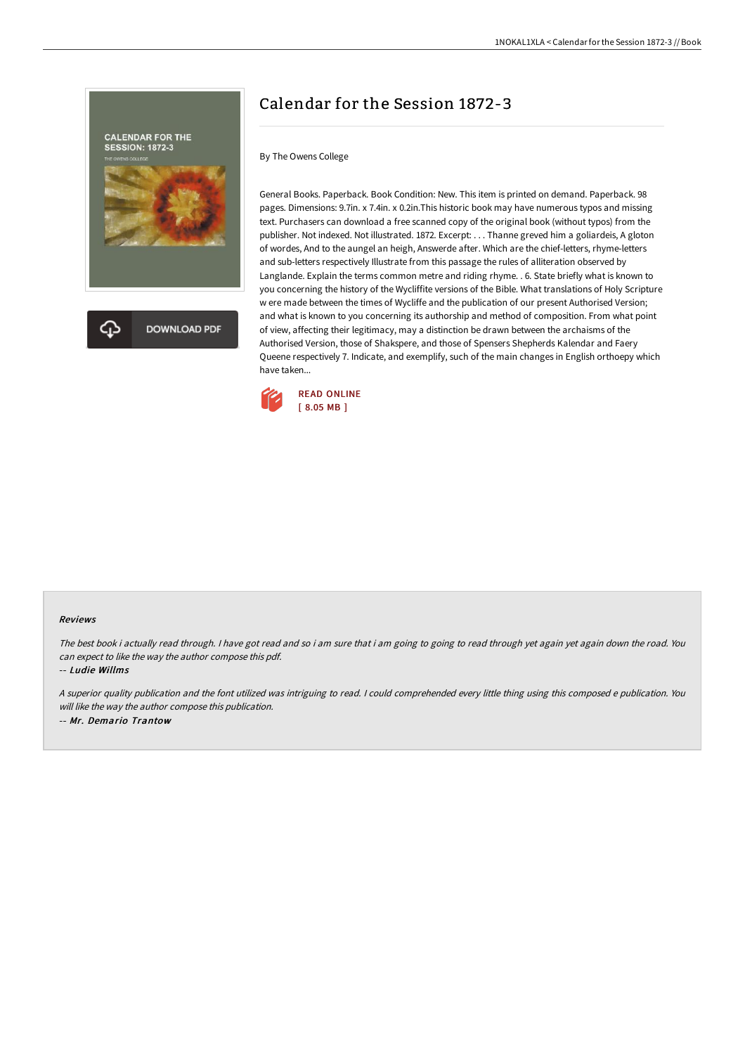

Calendar for the Session 1872-3

By The Owens College

General Books. Paperback. Book Condition: New. This item is printed on demand. Paperback. 98 pages. Dimensions: 9.7in. x 7.4in. x 0.2in.This historic book may have numerous typos and missing text. Purchasers can download a free scanned copy of the original book (without typos) from the publisher. Not indexed. Not illustrated. 1872. Excerpt: . . . Thanne greved him a goliardeis, A gloton of wordes, And to the aungel an heigh, Answerde after. Which are the chief-letters, rhyme-letters and sub-letters respectively Illustrate from this passage the rules of alliteration observed by Langlande. Explain the terms common metre and riding rhyme. . 6. State briefly what is known to you concerning the history of the Wycliffite versions of the Bible. What translations of Holy Scripture w ere made between the times of Wycliffe and the publication of our present Authorised Version; and what is known to you concerning its authorship and method of composition. From what point of view, affecting their legitimacy, may a distinction be drawn between the archaisms of the Authorised Version, those of Shakspere, and those of Spensers Shepherds Kalendar and Faery Queene respectively 7. Indicate, and exemplify, such of the main changes in English orthoepy which have taken...



## Reviews

The best book i actually read through. I have got read and so i am sure that i am going to going to read through yet again yet again down the road. You can expect to like the way the author compose this pdf.

-- Ludie Willms

<sup>A</sup> superior quality publication and the font utilized was intriguing to read. <sup>I</sup> could comprehended every little thing using this composed <sup>e</sup> publication. You will like the way the author compose this publication. -- Mr. Demario Trantow